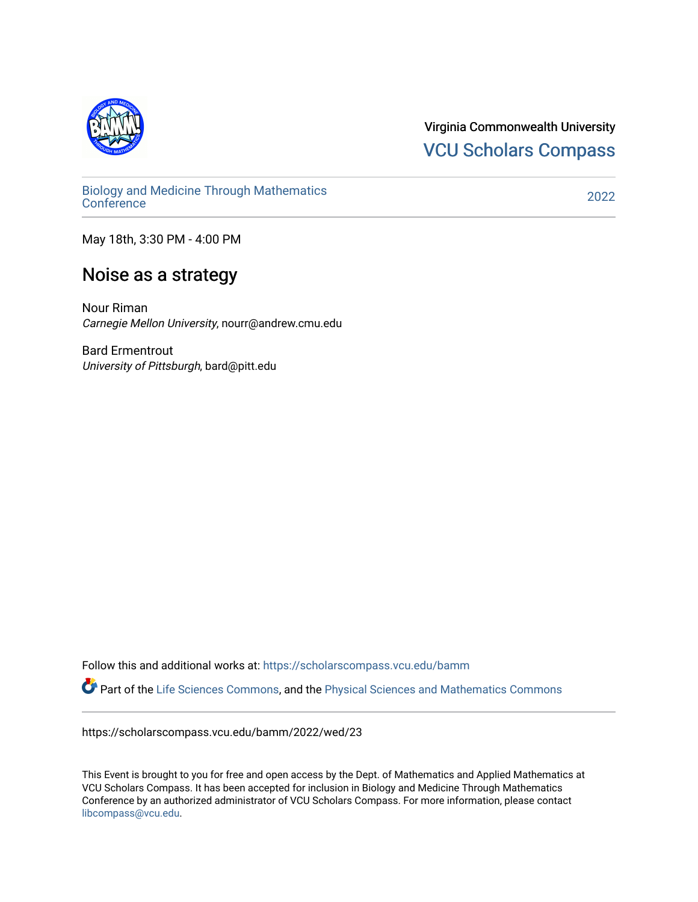

Virginia Commonwealth University [VCU Scholars Compass](https://scholarscompass.vcu.edu/) 

[Biology and Medicine Through Mathematics](https://scholarscompass.vcu.edu/bamm)  [Conference](https://scholarscompass.vcu.edu/bamm) [2022](https://scholarscompass.vcu.edu/bamm/2022) 

May 18th, 3:30 PM - 4:00 PM

## Noise as a strategy

Nour Riman Carnegie Mellon University, nourr@andrew.cmu.edu

Bard Ermentrout University of Pittsburgh, bard@pitt.edu

Follow this and additional works at: [https://scholarscompass.vcu.edu/bamm](https://scholarscompass.vcu.edu/bamm?utm_source=scholarscompass.vcu.edu%2Fbamm%2F2022%2Fwed%2F23&utm_medium=PDF&utm_campaign=PDFCoverPages) Part of the [Life Sciences Commons,](http://network.bepress.com/hgg/discipline/1016?utm_source=scholarscompass.vcu.edu%2Fbamm%2F2022%2Fwed%2F23&utm_medium=PDF&utm_campaign=PDFCoverPages) and the [Physical Sciences and Mathematics Commons](http://network.bepress.com/hgg/discipline/114?utm_source=scholarscompass.vcu.edu%2Fbamm%2F2022%2Fwed%2F23&utm_medium=PDF&utm_campaign=PDFCoverPages)

https://scholarscompass.vcu.edu/bamm/2022/wed/23

This Event is brought to you for free and open access by the Dept. of Mathematics and Applied Mathematics at VCU Scholars Compass. It has been accepted for inclusion in Biology and Medicine Through Mathematics Conference by an authorized administrator of VCU Scholars Compass. For more information, please contact [libcompass@vcu.edu.](mailto:libcompass@vcu.edu)